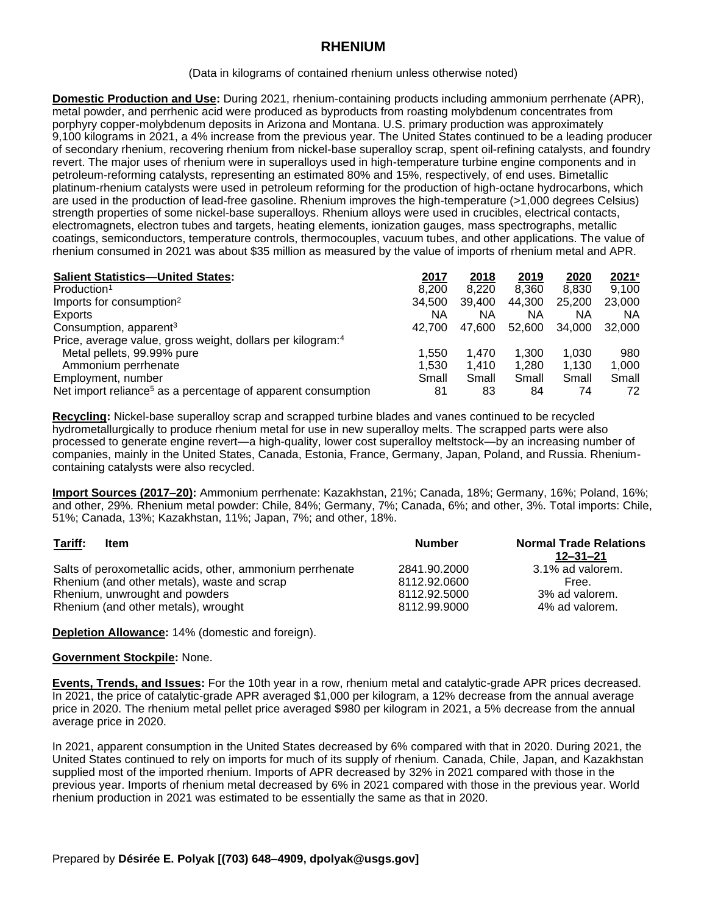## **RHENIUM**

(Data in kilograms of contained rhenium unless otherwise noted)

**Domestic Production and Use:** During 2021, rhenium-containing products including ammonium perrhenate (APR), metal powder, and perrhenic acid were produced as byproducts from roasting molybdenum concentrates from porphyry copper-molybdenum deposits in Arizona and Montana. U.S. primary production was approximately 9,100 kilograms in 2021, a 4% increase from the previous year. The United States continued to be a leading producer of secondary rhenium, recovering rhenium from nickel-base superalloy scrap, spent oil-refining catalysts, and foundry revert. The major uses of rhenium were in superalloys used in high-temperature turbine engine components and in petroleum-reforming catalysts, representing an estimated 80% and 15%, respectively, of end uses. Bimetallic platinum-rhenium catalysts were used in petroleum reforming for the production of high-octane hydrocarbons, which are used in the production of lead-free gasoline. Rhenium improves the high-temperature (>1,000 degrees Celsius) strength properties of some nickel-base superalloys. Rhenium alloys were used in crucibles, electrical contacts, electromagnets, electron tubes and targets, heating elements, ionization gauges, mass spectrographs, metallic coatings, semiconductors, temperature controls, thermocouples, vacuum tubes, and other applications. The value of rhenium consumed in 2021 was about \$35 million as measured by the value of imports of rhenium metal and APR.

| <b>Salient Statistics-United States:</b>                                 | 2017   | 2018   | 2019   | 2020   | $2021$ <sup>e</sup> |
|--------------------------------------------------------------------------|--------|--------|--------|--------|---------------------|
| Production <sup>1</sup>                                                  | 8.200  | 8.220  | 8.360  | 8.830  | 9,100               |
| Imports for consumption <sup>2</sup>                                     | 34,500 | 39,400 | 44,300 | 25,200 | 23,000              |
| Exports                                                                  | ΝA     | ΝA     | ΝA     | ΝA     | ΝA                  |
| Consumption, apparent <sup>3</sup>                                       | 42.700 | 47.600 | 52.600 | 34.000 | 32,000              |
| Price, average value, gross weight, dollars per kilogram: <sup>4</sup>   |        |        |        |        |                     |
| Metal pellets, 99.99% pure                                               | 1.550  | 1.470  | 1.300  | 1.030  | 980                 |
| Ammonium perrhenate                                                      | 1.530  | 1.410  | 1.280  | 1.130  | 1.000               |
| Employment, number                                                       | Small  | Small  | Small  | Small  | Small               |
| Net import reliance <sup>5</sup> as a percentage of apparent consumption | 81     | 83     | 84     | 74     | 72                  |

**Recycling:** Nickel-base superalloy scrap and scrapped turbine blades and vanes continued to be recycled hydrometallurgically to produce rhenium metal for use in new superalloy melts. The scrapped parts were also processed to generate engine revert—a high-quality, lower cost superalloy meltstock—by an increasing number of companies, mainly in the United States, Canada, Estonia, France, Germany, Japan, Poland, and Russia. Rheniumcontaining catalysts were also recycled.

**Import Sources (2017–20):** Ammonium perrhenate: Kazakhstan, 21%; Canada, 18%; Germany, 16%; Poland, 16%; and other, 29%. Rhenium metal powder: Chile, 84%; Germany, 7%; Canada, 6%; and other, 3%. Total imports: Chile, 51%; Canada, 13%; Kazakhstan, 11%; Japan, 7%; and other, 18%.

| Tariff:<br>Item                                           | <b>Number</b> | <b>Normal Trade Relations</b><br>$12 - 31 - 21$ |
|-----------------------------------------------------------|---------------|-------------------------------------------------|
| Salts of peroxometallic acids, other, ammonium perrhenate | 2841.90.2000  | 3.1% ad valorem.                                |
| Rhenium (and other metals), waste and scrap               | 8112.92.0600  | Free.                                           |
| Rhenium, unwrought and powders                            | 8112.92.5000  | 3% ad valorem.                                  |
| Rhenium (and other metals), wrought                       | 8112.99.9000  | 4% ad valorem.                                  |

**Depletion Allowance:** 14% (domestic and foreign).

## **Government Stockpile:** None.

**Events, Trends, and Issues:** For the 10th year in a row, rhenium metal and catalytic-grade APR prices decreased. In 2021, the price of catalytic-grade APR averaged \$1,000 per kilogram, a 12% decrease from the annual average price in 2020. The rhenium metal pellet price averaged \$980 per kilogram in 2021, a 5% decrease from the annual average price in 2020.

In 2021, apparent consumption in the United States decreased by 6% compared with that in 2020. During 2021, the United States continued to rely on imports for much of its supply of rhenium. Canada, Chile, Japan, and Kazakhstan supplied most of the imported rhenium. Imports of APR decreased by 32% in 2021 compared with those in the previous year. Imports of rhenium metal decreased by 6% in 2021 compared with those in the previous year. World rhenium production in 2021 was estimated to be essentially the same as that in 2020.